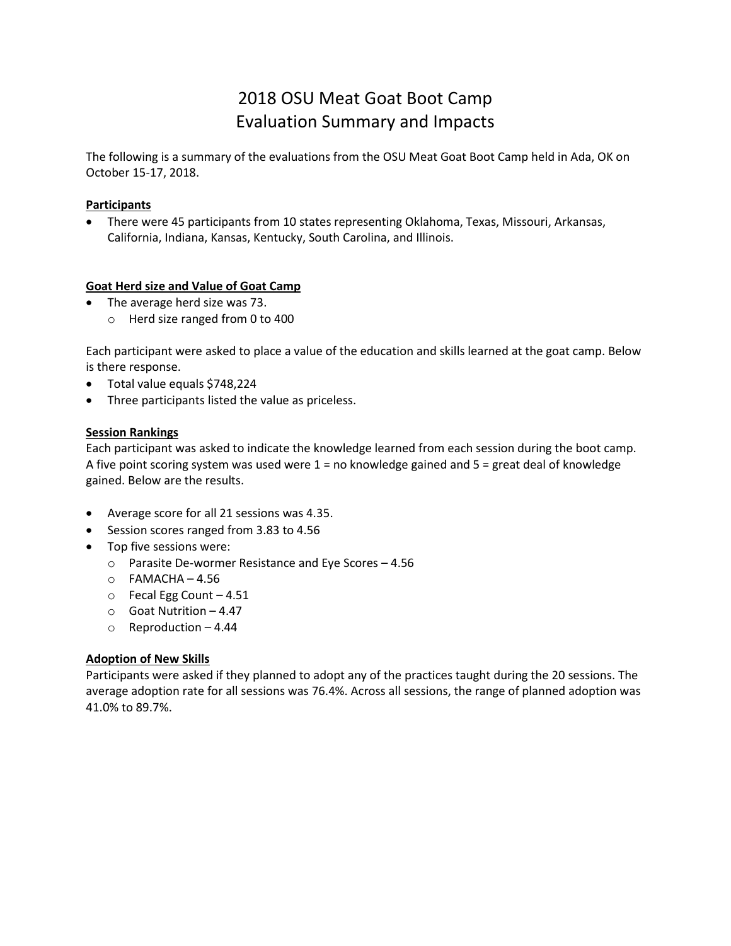# 2018 OSU Meat Goat Boot Camp Evaluation Summary and Impacts

The following is a summary of the evaluations from the OSU Meat Goat Boot Camp held in Ada, OK on October 15-17, 2018.

#### **Participants**

 There were 45 participants from 10 states representing Oklahoma, Texas, Missouri, Arkansas, California, Indiana, Kansas, Kentucky, South Carolina, and Illinois.

### **Goat Herd size and Value of Goat Camp**

- The average herd size was 73.
	- o Herd size ranged from 0 to 400

Each participant were asked to place a value of the education and skills learned at the goat camp. Below is there response.

- Total value equals \$748,224
- Three participants listed the value as priceless.

#### **Session Rankings**

Each participant was asked to indicate the knowledge learned from each session during the boot camp. A five point scoring system was used were 1 = no knowledge gained and 5 = great deal of knowledge gained. Below are the results.

- Average score for all 21 sessions was 4.35.
- Session scores ranged from 3.83 to 4.56
- Top five sessions were:
	- o Parasite De-wormer Resistance and Eye Scores 4.56
	- o FAMACHA 4.56
	- $\circ$  Fecal Egg Count 4.51
	- o Goat Nutrition 4.47
	- $\circ$  Reproduction 4.44

#### **Adoption of New Skills**

Participants were asked if they planned to adopt any of the practices taught during the 20 sessions. The average adoption rate for all sessions was 76.4%. Across all sessions, the range of planned adoption was 41.0% to 89.7%.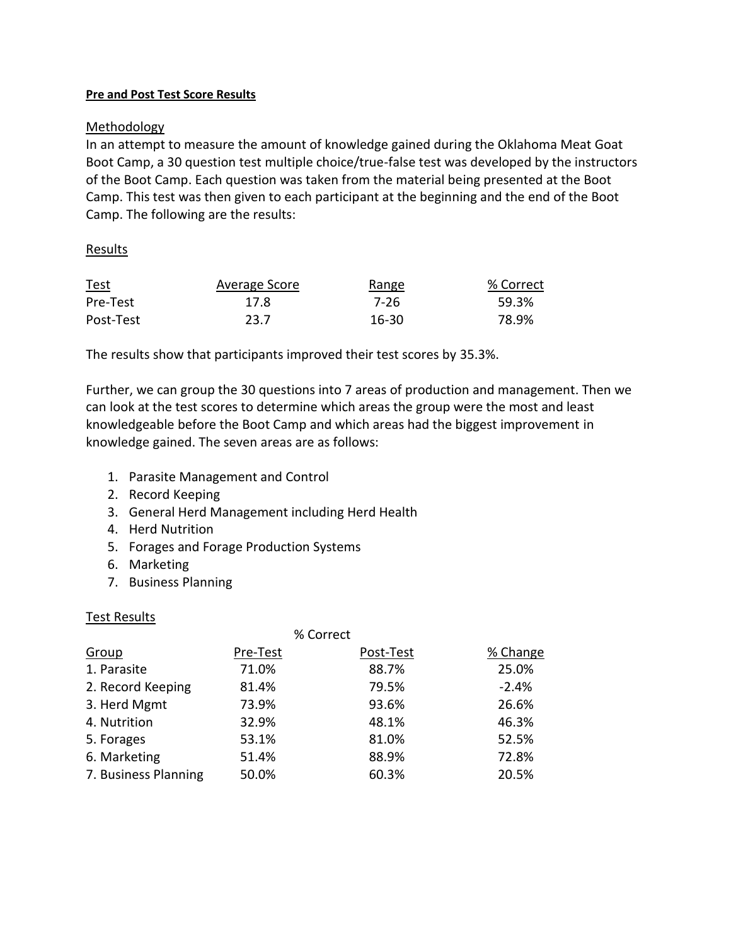## **Pre and Post Test Score Results**

## Methodology

In an attempt to measure the amount of knowledge gained during the Oklahoma Meat Goat Boot Camp, a 30 question test multiple choice/true-false test was developed by the instructors of the Boot Camp. Each question was taken from the material being presented at the Boot Camp. This test was then given to each participant at the beginning and the end of the Boot Camp. The following are the results:

### **Results**

| Test<br><u>____</u> | Average Score | Range | % Correct |
|---------------------|---------------|-------|-----------|
| Pre-Test            | 17.8          | 7-26  | 59.3%     |
| Post-Test           | 23.7          | 16-30 | 78.9%     |

The results show that participants improved their test scores by 35.3%.

Further, we can group the 30 questions into 7 areas of production and management. Then we can look at the test scores to determine which areas the group were the most and least knowledgeable before the Boot Camp and which areas had the biggest improvement in knowledge gained. The seven areas are as follows:

- 1. Parasite Management and Control
- 2. Record Keeping
- 3. General Herd Management including Herd Health
- 4. Herd Nutrition
- 5. Forages and Forage Production Systems
- 6. Marketing
- 7. Business Planning

# Test Results

| Pre-Test | Post-Test | % Change  |  |  |
|----------|-----------|-----------|--|--|
| 71.0%    | 88.7%     | 25.0%     |  |  |
| 81.4%    | 79.5%     | $-2.4%$   |  |  |
| 73.9%    | 93.6%     | 26.6%     |  |  |
| 32.9%    | 48.1%     | 46.3%     |  |  |
| 53.1%    | 81.0%     | 52.5%     |  |  |
| 51.4%    | 88.9%     | 72.8%     |  |  |
| 50.0%    | 60.3%     | 20.5%     |  |  |
|          |           | % Correct |  |  |